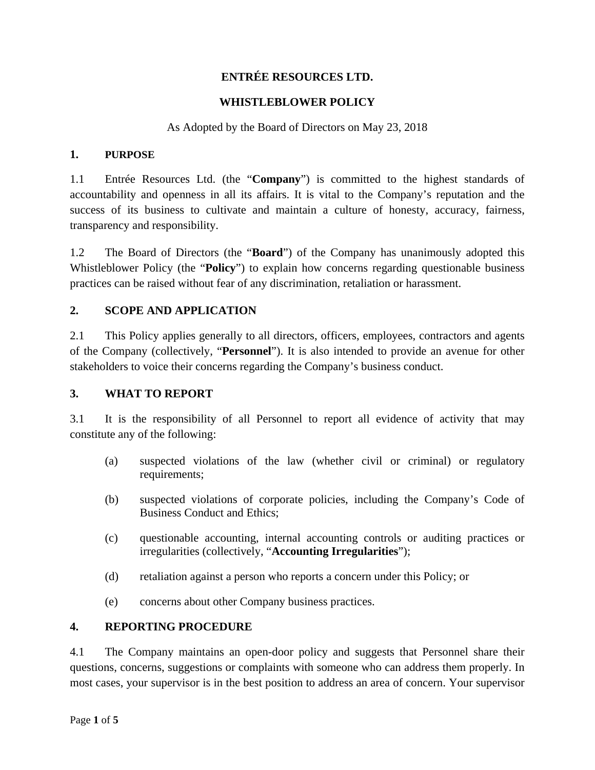# **ENTRÉE RESOURCES LTD.**

### **WHISTLEBLOWER POLICY**

### As Adopted by the Board of Directors on May 23, 2018

#### **1. PURPOSE**

1.1 Entrée Resources Ltd. (the "**Company**") is committed to the highest standards of accountability and openness in all its affairs. It is vital to the Company's reputation and the success of its business to cultivate and maintain a culture of honesty, accuracy, fairness, transparency and responsibility.

1.2 The Board of Directors (the "**Board**") of the Company has unanimously adopted this Whistleblower Policy (the "**Policy**") to explain how concerns regarding questionable business practices can be raised without fear of any discrimination, retaliation or harassment.

### **2. SCOPE AND APPLICATION**

2.1 This Policy applies generally to all directors, officers, employees, contractors and agents of the Company (collectively, "**Personnel**"). It is also intended to provide an avenue for other stakeholders to voice their concerns regarding the Company's business conduct.

#### **3. WHAT TO REPORT**

3.1 It is the responsibility of all Personnel to report all evidence of activity that may constitute any of the following:

- (a) suspected violations of the law (whether civil or criminal) or regulatory requirements;
- (b) suspected violations of corporate policies, including the Company's Code of Business Conduct and Ethics;
- (c) questionable accounting, internal accounting controls or auditing practices or irregularities (collectively, "**Accounting Irregularities**");
- (d) retaliation against a person who reports a concern under this Policy; or
- (e) concerns about other Company business practices.

#### **4. REPORTING PROCEDURE**

4.1 The Company maintains an open-door policy and suggests that Personnel share their questions, concerns, suggestions or complaints with someone who can address them properly. In most cases, your supervisor is in the best position to address an area of concern. Your supervisor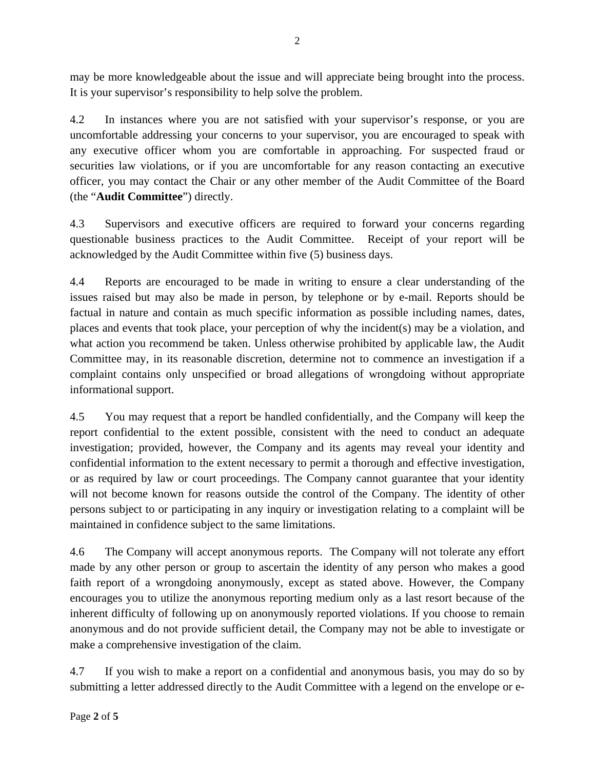may be more knowledgeable about the issue and will appreciate being brought into the process. It is your supervisor's responsibility to help solve the problem.

4.2 In instances where you are not satisfied with your supervisor's response, or you are uncomfortable addressing your concerns to your supervisor, you are encouraged to speak with any executive officer whom you are comfortable in approaching. For suspected fraud or securities law violations, or if you are uncomfortable for any reason contacting an executive officer, you may contact the Chair or any other member of the Audit Committee of the Board (the "**Audit Committee**") directly.

4.3 Supervisors and executive officers are required to forward your concerns regarding questionable business practices to the Audit Committee. Receipt of your report will be acknowledged by the Audit Committee within five (5) business days.

4.4 Reports are encouraged to be made in writing to ensure a clear understanding of the issues raised but may also be made in person, by telephone or by e-mail. Reports should be factual in nature and contain as much specific information as possible including names, dates, places and events that took place, your perception of why the incident(s) may be a violation, and what action you recommend be taken. Unless otherwise prohibited by applicable law, the Audit Committee may, in its reasonable discretion, determine not to commence an investigation if a complaint contains only unspecified or broad allegations of wrongdoing without appropriate informational support.

4.5 You may request that a report be handled confidentially, and the Company will keep the report confidential to the extent possible, consistent with the need to conduct an adequate investigation; provided, however, the Company and its agents may reveal your identity and confidential information to the extent necessary to permit a thorough and effective investigation, or as required by law or court proceedings. The Company cannot guarantee that your identity will not become known for reasons outside the control of the Company. The identity of other persons subject to or participating in any inquiry or investigation relating to a complaint will be maintained in confidence subject to the same limitations.

4.6 The Company will accept anonymous reports. The Company will not tolerate any effort made by any other person or group to ascertain the identity of any person who makes a good faith report of a wrongdoing anonymously, except as stated above. However, the Company encourages you to utilize the anonymous reporting medium only as a last resort because of the inherent difficulty of following up on anonymously reported violations. If you choose to remain anonymous and do not provide sufficient detail, the Company may not be able to investigate or make a comprehensive investigation of the claim.

4.7 If you wish to make a report on a confidential and anonymous basis, you may do so by submitting a letter addressed directly to the Audit Committee with a legend on the envelope or e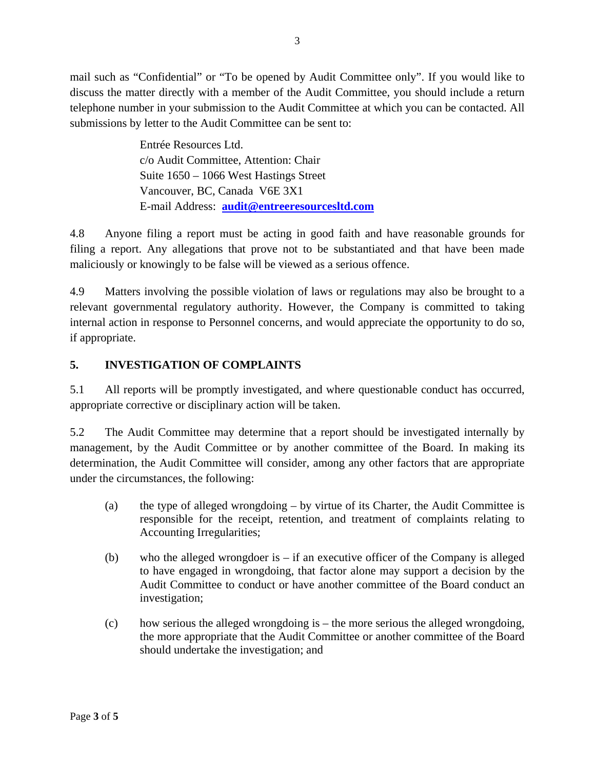mail such as "Confidential" or "To be opened by Audit Committee only". If you would like to discuss the matter directly with a member of the Audit Committee, you should include a return telephone number in your submission to the Audit Committee at which you can be contacted. All submissions by letter to the Audit Committee can be sent to:

> Entrée Resources Ltd. c/o Audit Committee, Attention: Chair Suite 1650 – 1066 West Hastings Street Vancouver, BC, Canada V6E 3X1 E-mail Address: **audit@entreeresourcesltd.com**

4.8 Anyone filing a report must be acting in good faith and have reasonable grounds for filing a report. Any allegations that prove not to be substantiated and that have been made maliciously or knowingly to be false will be viewed as a serious offence.

4.9 Matters involving the possible violation of laws or regulations may also be brought to a relevant governmental regulatory authority. However, the Company is committed to taking internal action in response to Personnel concerns, and would appreciate the opportunity to do so, if appropriate.

# **5. INVESTIGATION OF COMPLAINTS**

5.1 All reports will be promptly investigated, and where questionable conduct has occurred, appropriate corrective or disciplinary action will be taken.

5.2 The Audit Committee may determine that a report should be investigated internally by management, by the Audit Committee or by another committee of the Board. In making its determination, the Audit Committee will consider, among any other factors that are appropriate under the circumstances, the following:

- (a) the type of alleged wrongdoing by virtue of its Charter, the Audit Committee is responsible for the receipt, retention, and treatment of complaints relating to Accounting Irregularities;
- (b) who the alleged wrongdoer is  $-$  if an executive officer of the Company is alleged to have engaged in wrongdoing, that factor alone may support a decision by the Audit Committee to conduct or have another committee of the Board conduct an investigation;
- (c) how serious the alleged wrongdoing is the more serious the alleged wrongdoing, the more appropriate that the Audit Committee or another committee of the Board should undertake the investigation; and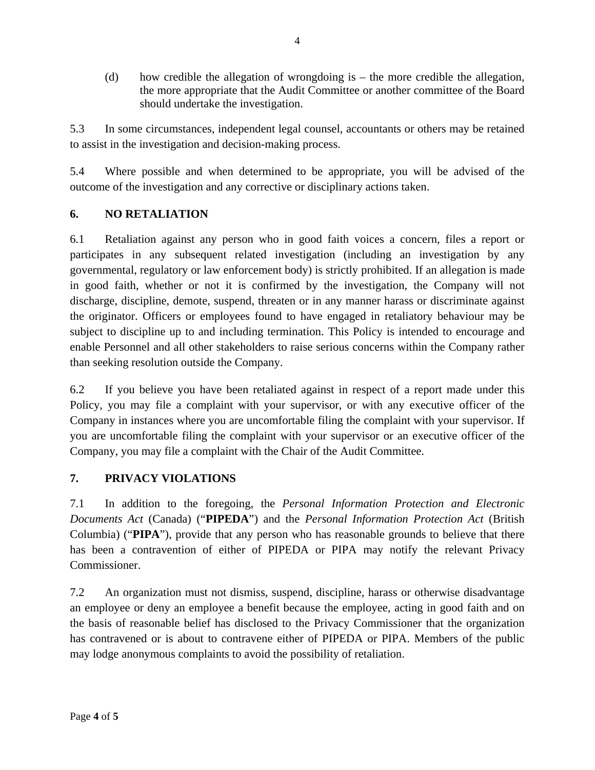(d) how credible the allegation of wrongdoing is – the more credible the allegation, the more appropriate that the Audit Committee or another committee of the Board should undertake the investigation.

5.3 In some circumstances, independent legal counsel, accountants or others may be retained to assist in the investigation and decision-making process.

5.4 Where possible and when determined to be appropriate, you will be advised of the outcome of the investigation and any corrective or disciplinary actions taken.

# **6. NO RETALIATION**

6.1 Retaliation against any person who in good faith voices a concern, files a report or participates in any subsequent related investigation (including an investigation by any governmental, regulatory or law enforcement body) is strictly prohibited. If an allegation is made in good faith, whether or not it is confirmed by the investigation, the Company will not discharge, discipline, demote, suspend, threaten or in any manner harass or discriminate against the originator. Officers or employees found to have engaged in retaliatory behaviour may be subject to discipline up to and including termination. This Policy is intended to encourage and enable Personnel and all other stakeholders to raise serious concerns within the Company rather than seeking resolution outside the Company.

6.2 If you believe you have been retaliated against in respect of a report made under this Policy, you may file a complaint with your supervisor, or with any executive officer of the Company in instances where you are uncomfortable filing the complaint with your supervisor. If you are uncomfortable filing the complaint with your supervisor or an executive officer of the Company, you may file a complaint with the Chair of the Audit Committee.

# **7. PRIVACY VIOLATIONS**

7.1 In addition to the foregoing, the *Personal Information Protection and Electronic Documents Act* (Canada) ("**PIPEDA**") and the *Personal Information Protection Act* (British Columbia) ("**PIPA**"), provide that any person who has reasonable grounds to believe that there has been a contravention of either of PIPEDA or PIPA may notify the relevant Privacy Commissioner.

7.2 An organization must not dismiss, suspend, discipline, harass or otherwise disadvantage an employee or deny an employee a benefit because the employee, acting in good faith and on the basis of reasonable belief has disclosed to the Privacy Commissioner that the organization has contravened or is about to contravene either of PIPEDA or PIPA. Members of the public may lodge anonymous complaints to avoid the possibility of retaliation.